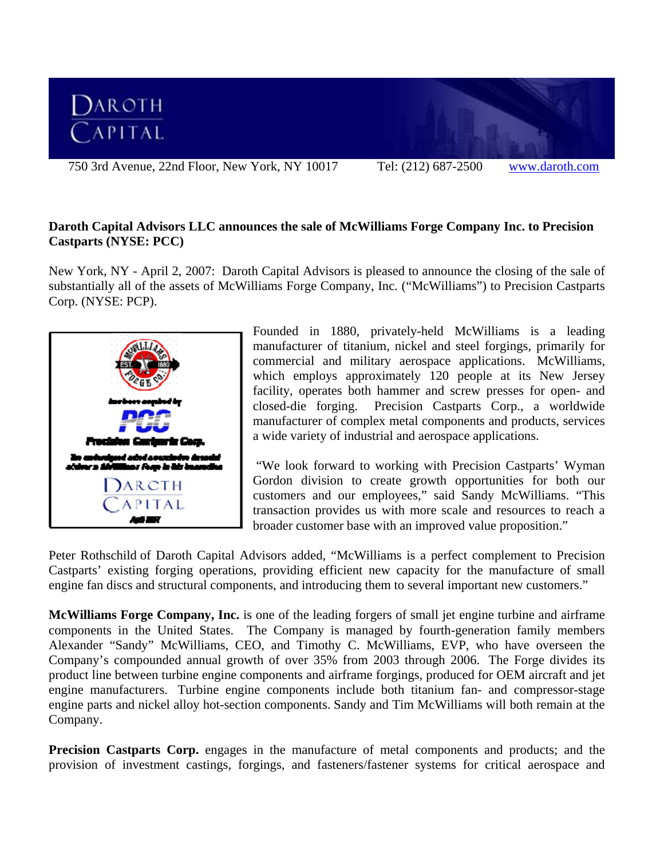

## **Daroth Capital Advisors LLC announces the sale of McWilliams Forge Company Inc. to Precision Castparts (NYSE: PCC)**

New York, NY - April 2, 2007: Daroth Capital Advisors is pleased to announce the closing of the sale of substantially all of the assets of McWilliams Forge Company, Inc. ("McWilliams") to Precision Castparts Corp. (NYSE: PCP).



Founded in 1880, privately-held McWilliams is a leading manufacturer of titanium, nickel and steel forgings, primarily for commercial and military aerospace applications. McWilliams, which employs approximately 120 people at its New Jersey facility, operates both hammer and screw presses for open- and closed-die forging. Precision Castparts Corp., a worldwide manufacturer of complex metal components and products, services a wide variety of industrial and aerospace applications.

 "We look forward to working with Precision Castparts' Wyman Gordon division to create growth opportunities for both our customers and our employees," said Sandy McWilliams. "This transaction provides us with more scale and resources to reach a broader customer base with an improved value proposition."

Peter Rothschild of Daroth Capital Advisors added, "McWilliams is a perfect complement to Precision Castparts' existing forging operations, providing efficient new capacity for the manufacture of small engine fan discs and structural components, and introducing them to several important new customers."

**McWilliams Forge Company, Inc.** is one of the leading forgers of small jet engine turbine and airframe components in the United States. The Company is managed by fourth-generation family members Alexander "Sandy" McWilliams, CEO, and Timothy C. McWilliams, EVP, who have overseen the Company's compounded annual growth of over 35% from 2003 through 2006. The Forge divides its product line between turbine engine components and airframe forgings, produced for OEM aircraft and jet engine manufacturers. Turbine engine components include both titanium fan- and compressor-stage engine parts and nickel alloy hot-section components. Sandy and Tim McWilliams will both remain at the Company.

**Precision Castparts Corp.** engages in the manufacture of metal components and products; and the provision of investment castings, forgings, and fasteners/fastener systems for critical aerospace and